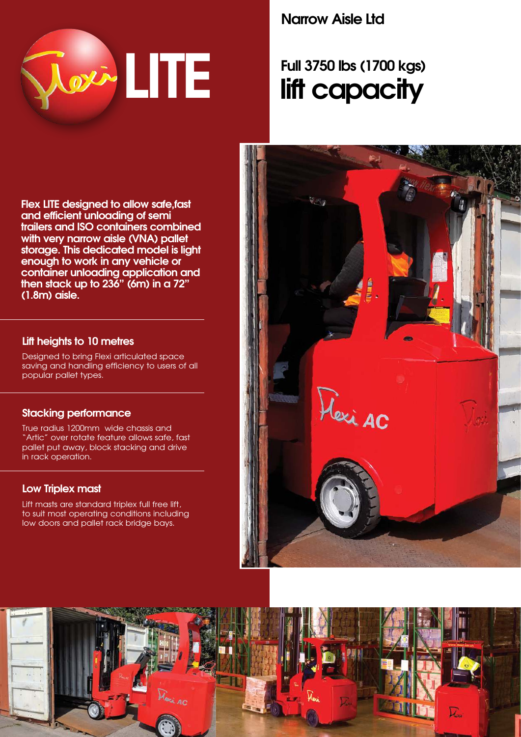

# **Narrow Aisle Ltd**

# **Full 3750 lbs (1700 kgs) lift capacity**

**Flex LITE designed to allow safe,fast and efficient unloading of semi trailers and ISO containers combined with very narrow aisle (VNA) pallet storage. This dedicated model is light enough to work in any vehicle or container unloading application and then stack up to 236" (6m) in a 72" (1.8m) aisle.**

# **Lift heights to 10 metres**

Designed to bring Flexi articulated space saving and handling efficiency to users of all popular pallet types.

## **Stacking performance**

True radius 1200mm wide chassis and "Artic" over rotate feature allows safe, fast pallet put away, block stacking and drive in rack operation.

## **Low Triplex mast**

Lift masts are standard triplex full free lift, to suit most operating conditions including low doors and pallet rack bridge bays.